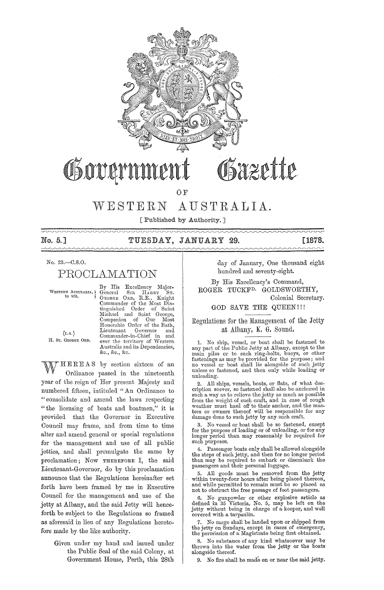

# Govern

OF

# WESTERN AUSTRALIA.

[ Published by Authority. ]

 $\sim$ 

## No. 5.] TUESDAY, JANUARY 29. [1878.

## No. 23.-C.S.0.

PROCLAMATION

**WESTERN AUS'l'RALIA'l**  to wit.

 $(r, s.)$ H. Sr. GEORGE ORD.

General Sm HARRY ST.<br>GEORGE ORD, R.E., Knight<br>Commander of the Most Dis-<br>tinguished Order of Saint Michael and Saint George,<br>Companion of Our Most<br>Honorable-Order-of-the-Bath, Lieutenant Governor and<br>Commander-in-Chief in and<br>over the territory of Western Australia and its Dependencies, &c., &c., &c.

By His Excellency Major-

HEREAS by section sixteen of an Ordinance passed in the nineteenth year of the reign of Her present Majesty and numbered fifteen, intituled "An Ordinance to "consolidate and amend the laws respecting "the licensing of boats and boatmen," it is provided that the Governor in Executive Council may frame, and from time to time alter and amend general or special regulations for the management and use of all public jetties, and shall promulgate the same by proclamation; Now THEREFORE I, the said Lieutenant-Governor, do by this proclamation announce that the Regulations hereinafter set forth have been framed by me in Executive Council for the management and use of the jetty at Albany, and the said Jetty will henceforth be subject to the Regulations so framed as aforesaid in lieu of any Regulations heretofore made by the like authority.

Given under my hand and issued under the Public Seal of the said Colony, at Government House, Perth, this 28th

day of January, One thousand eight hundred and seventy-eight.

By His Excellency's Command, ROGER TUCKFD. GOLDSWORTHY,

Colonial Secretary.

GOD SAVE THE QUEEN!!!

Regulations for the Management of the Jetty at Albany, K. G. Sound.

l. No ship, vessel, or boat shall be fastened to any part of the Public Jetty at Albany, except to the main piles or to such ring-bolts, buoys, or other fastenings as may be provided for the purpose; and no vessel or boat shall lie alongside of such jetty unless so fastened, and then only while loading or unloading.

2. All ships, vessels, boats, or fiats, of what des-cription soever, so fastened shall also be anchored in such a way as to relieve the jetty as much as possible from the weight of such craft, and in case of rough weather must haul off to their anchor, and the masters or owners thereof will be responsible for any damage done to such jetty by any such craft.

3. No vessel or boat shall be so fastened, except for the purpose of loading or of unloading, or for any longer period than may reasonably be required for such purposes.

4. Passenger boats only shall be allowed alongside the steps of such jetty, and then for no longer period than may be required to embark or disembark the passengers and their personal luggage.

5. All goods must be removed from the jetty within twenty-four hours after being placed thereon, and while permitted to remain must be so placed as not to obstruct the free passage of foot passengers.

6. No gunpowder or other explosive article as defined in 35 Victoria, No. 5, may be left on the jetty without being in charge of a keeper, and well covered with a tarpaulin.

7. No cargo shall be landed upon or shipped from the jetty on Sundays, except in cases of emergency, the permission of a Magistrate being first obtained.

8. No substance of any kind whatsoever may be thrown into the water from the jetty or the boats alongside thereof.

9. No fire shall be made on or near the said jetty.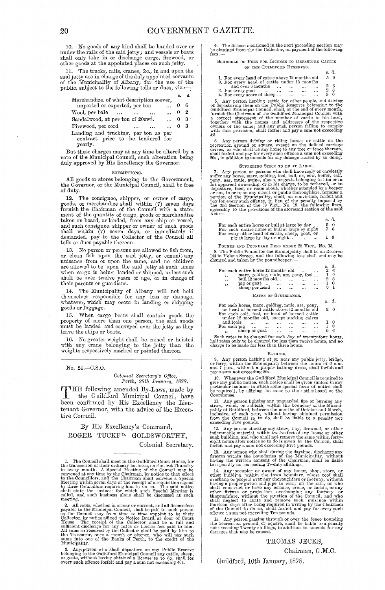10. No goods of any kind shall be handed over or under the rails of the said jetty; and vessels or boats shall only take in or discharge cargo, firewood, or other goods at the appointed places on such jetty.

11. The trucks, rails, cranes, &c., in and upon the said jetty are in charge of the duly appointed servants of the Municipality of Albany, for the use of the public, subject to the following tolls or dues, viz.:-

|                                                                                      | s.       | đ.  |
|--------------------------------------------------------------------------------------|----------|-----|
| Merchandize, of what description soever,                                             |          |     |
| imported or exported, per ton<br>$\cdots$                                            | $\theta$ | - 6 |
| $\dots 0 2$<br>Wool, per bale<br>$\ddotsc$                                           |          |     |
| Sandalwood, at per ton of 20cwt.<br>$\ldots$ 0 3                                     |          |     |
| Firewood, per cord<br>$\ldots$ 0<br>$\cdots$                                         |          | - 3 |
| Landing and trucking, per ton as per<br>contract price to be tendered for<br>yearly. |          |     |
|                                                                                      |          |     |

But these charges may at any time be altered by a vote of the Municipal Council, such alteration being duly approved by His Excellency the Governor.

#### EXEMPTIONS.

All goods or stores belonging to the Government, the Governor, or the Municipal Council, shall be free of duty.

12. The consignee, shipper, or owner of cargo, goods, or merchandize shall within (7) seven days furnish the Chairman of the Council with a state-<br>ment of the quantity of cargo, goods or merchandize<br>taken on board, or land and such consignee, shipper or owner of such goods shall within (7) seven days, or immediately if demanded, pay to the Collector of the Council all tolls or dues payable thcreon.

13. No person or persons are allowed to fish from,<br>or clean fish upon the said jetty, or commit any<br>nuisance from or upon the same, and no children<br>are allowed to be upon the said jetty at such times<br>when cargo is being la their parents or guardians.

14. The Municipality of Albany will not hold themselves responsible for any loss or damage, whatever, which may occur in landing or shipping goods or luggage.

15. When cargo boats shall contain goods the property of more than one person, the said goods must be landed and conveyed over the jetty as they leave the ships or boats.

16. No greater weight shall be raised or hoisted with any crane belonging to the jetty than the weights respectively marked or painted thereon.

No. 24.-C.S.0.

 $Colonial$  Secretary's Office, *Pel·th, 28th Janual'y, 1878.* 

r1f'lHE following amended By-Laws, made by the Guildford Municipal Council, have been confirmed by His Excellency the Lieutenant Governor, with the advice of the Executive Council.

By His Excellency's Command, ROGER TUCKFD. GOLDSWORTHY, Colonial Secretary.

1. The Council shall meet in the Guildford Court House, for the transaction of their ordinary business, on the first Thursday in every month. A Special Meeting of the Council may be convened at any time by the Chairman, by notice to that effect to the Councillors, and the Chairman shall convene a Special Meeting within seven days of the receipt o called, and such business alone shall be discussed at such **meeting.** 

2. All rates, whether in arrear or current, and all license fees<br>payable to the Municipal Council, shall be paid to such person<br>as the Council may from time to time appoint to be their Collector, by notice affixed to Notice Board, at door of Court House. The receipt of the Collector shall be a full and sufficient discharge for any rates or license fees paid to him.<br>sufficient discharge for any rates or l

3. Any person who shall depasture on any Public Reserve belonging to the Guildford Municipal Council any cattle, sheep, or goats, without having obtained a license so to do, shall for every such offence forfeit and pay a

4. The license mentioned in the next preceding section may be obtained from the the Collector, on payment of the following fees :--

SCHEDULE OF FEES FOR LICENSE TO DEPASTURE CATTLE ON THE GUILDFORD RESERVES.

|                                                                        | s. d.    |
|------------------------------------------------------------------------|----------|
| 1. For every head of cattle above 12 months old                        | $5\quad$ |
| 2. For every head of cattle under 12 months                            |          |
| and over 6 months<br>$\cdots$<br>$\ddotsc$<br>$\cdots$<br>$\cdots$     | В        |
| 3. For every goat<br><br>$\cdots$<br>$\ddotsc$<br>$\cdots$<br>$\cdots$ | -6       |
| 4. For every score of sheep<br>$\cdots$<br>$\cdots$<br>$\ddotsc$       | - 0      |

5. Any person herding cattle for other people, and driving<br>or depasturing them on the Public Reserves belonging to the<br>Guildford Municipal Council, shall, at the end of every month,<br>furnish the Chairman of the Guildford Mu **together with the names and addresses of the respective owners of the same; and any such person failing' to comply with this provision, shull forfeit and pay a sum not exceeding** £5.

6. Any person driving or riding horses or cattle on the cereation ground or square, except on the defined carriage drives, or who shall tie any horse to any tree or fence thereon, shall forfelot and pay for every such offe

SUFFERING STOCK TO BE AT LARGE.<br>
7. Any person or persons who shall knowingly or carelessly<br>
suffer any horse, mare, gelding, foal, bull, ox, cow, heifer, calf,<br>
pony, ass, mule, swine, sheep, or goats belonging to him or or not, in or upon any street or public thorough<br>fare, forming a portion of the Municipality, shall, on conviction, for<br>feit and pay for every such offence, in lieu of the penalty imposed by<br>the 3rd Section of the 39 Vict. agreeably to the provisions of the aforesaid section of the said  $Act:--$ 

|                                                      | .  |    |  |
|------------------------------------------------------|----|----|--|
| For each entire horse or bull at large by day        | 50 |    |  |
| For each entire horse or bull at large by night      |    | 6  |  |
| For every other head of cattle, sheep, goat, or      |    |    |  |
| pig at large by day or night<br>$\cdots$<br>$\cdots$ | Т. | -0 |  |

s. d.

**POUNDS AND POUNDAGE FEES UNDER 25 YICT., No. 13.** 

8. The Public Pound for the Municipality shall be on Reserve 144 in Helena Street, and the following fees shall and may be charged and taken by the poundkeeper:--

|          | For each entire horse 12 months old<br>mare, gelding, mule, ass, pony, foal |           |           |          | $\cdots$  | 6<br>0 |
|----------|-----------------------------------------------------------------------------|-----------|-----------|----------|-----------|--------|
| ,,<br>,, | bull 12 months old                                                          |           |           |          |           | 6      |
| ,,       | pig or goat                                                                 | $\cdots$  | $\cdots$  | $\cdots$ | $\cdots$  | 0      |
|          | sheep per head                                                              | $\ddotsc$ | $\ddotsc$ | $\cdots$ | $\ddotsc$ |        |
|          | RATES OF SUSTENANCE.                                                        |           |           |          |           |        |
|          |                                                                             |           |           |          |           |        |

|                                                                                                 | я. |            |
|-------------------------------------------------------------------------------------------------|----|------------|
| For each horse, mare, gelding, mule, ass, pony,<br>or head of horned cattle above 12 months old |    | $2 \theta$ |
| For each colt, foal, or head of horned cattle<br>under 12 months old, except sucking calves     |    |            |
| and foals<br><br>$\cdots$<br>$\cdots$<br>                                                       |    | 0          |
| For each pig<br>$\cdots$<br>$\cdots$<br>$\cdots$<br>$\cdots$                                    |    | Ð          |
| sheep or goat<br>$\overline{\phantom{a}}$<br>$\cdots$<br><br>                                   |    | - 6        |

Such rates to be charged for each day of twenty-four hours, and no charge to be charged for less than twelve hours, and no charge to be made for less than three hours.

#### **BATHING.**

9. Any person bathing at or near any public jetty, bridge, or ferry, within the Municipality between the hours of 6 a.m. and 7 p,m., without a proper bathing dress, shall forfeit and pay a sum not exceeding 20s.

pay sam not exceeding cost<br>of Municipal Council is required to give any public notice, such notice shall be given (unless in any particular instance in which some special form of notice shall be required), by affixing the

11. Any person lighting any unguarded fire or burning any that was wood, or rubbish, within the boundary of the Municipatity of Guildford, between the months of October and March, inclusive, of each year, without having ob

**12. Any person stacking any straw, hay, firewood, or other inflammable material, within twelve feet of any house or other such building, and who shaH not remove the same within fortyeight hours after notice so to do is given by the Council, shall forfeit and pay a sum not exceeding Five pounds.** 

13. Any person who shall during the daytime, discharge any firearm within the boundaries of the Municipality, without **having the written consent of the Chairman, shall be liable to a penalty not exceeding Twenty sl\illing'S.** 

**14. Any' occupier or owner of any house, shop, store, or other building, within the town boundary, whose roof shall overllang or project over any thoroughfnre or footway, without**  having a proper gutter and pipe to carry off the rain, or who shall construct or have any cornice, crane, or hoists, or any other fixture or projection overhanging any footway or thoughtfare, without the sanction of the Co fourteen days after being required in writing by the Chairman of the Council to do so, shall forfeit und pay for every such offence a sum not exceeding Ten pounds.

15. Any person passing through or over the fence bounding the recreation ground or square, shall be liable to a penalty not exceeding Twenty shillings, in addition to amends for any damages that may be caused.

#### THOMAS JECKS,

Chairman, G.M.C.

#### Guildford, 10th January, 1878.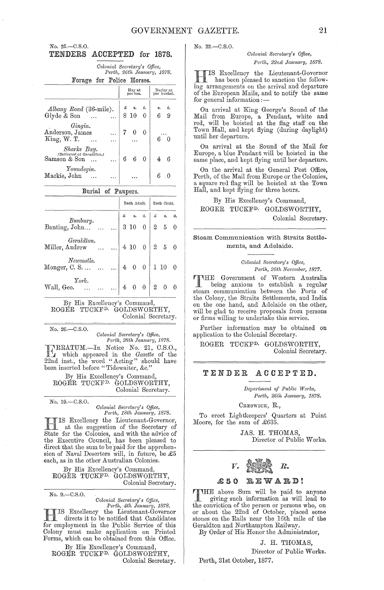#### No. 25.-C.S.O. TENDERS ACCEPTED for 1878.

Colonial Secretary's Office, Perth, 26th January, 1878. Forage for Police Horses.

| .                                                                    |                                                                                                 |                          |
|----------------------------------------------------------------------|-------------------------------------------------------------------------------------------------|--------------------------|
|                                                                      | Hay at<br>per ton.                                                                              | Barley at<br>per bushel. |
| Albany Road (36-mile).<br>Glyde $\&$ Son $\quad \dots \quad \dots$   | $\begin{array}{ccc} \varepsilon & \text{s.} & \text{a.} \\ \text{8\ 10} & \text{0} \end{array}$ | d.<br>s.<br>6<br>-9      |
| Gingin.<br>Anderson, James<br>King, W. T.<br>$\dddotsc$              |                                                                                                 |                          |
| Sharks Bay.<br>(Delivered at Geraldton.)<br>Samson & Son<br>$\cdots$ | $6\quad 6\quad 0$                                                                               | 46                       |
| Youndegin.<br>Mackie, John                                           |                                                                                                 |                          |

#### Burial of Paupers.

|                                                  |                       | Each Adult.                                                                                                       |  | Each Child. |  |
|--------------------------------------------------|-----------------------|-------------------------------------------------------------------------------------------------------------------|--|-------------|--|
|                                                  |                       |                                                                                                                   |  |             |  |
| Bunbury.<br>Banting, John                        |                       | $\begin{array}{ c c c c c }\hline x & s. & a. & x & s. & a. \ \hline 3 & 10 & 0 & 2 & 5 & 0 \ \hline \end{array}$ |  |             |  |
| Geraldton.<br>Miller, Andrew                     | $\ldots$ 4 10 0 2 5 0 |                                                                                                                   |  |             |  |
| Newcastle.<br>Monger, C. S. $ 4 \ 0 \ 0 $ 1 10 0 |                       |                                                                                                                   |  |             |  |
| York.<br>Wall, Geo.                              |                       | $4\quad 0\quad 0$ 2 0 0                                                                                           |  |             |  |

By His Excellency's Command, ROGER TUCKF<sup>D.</sup> GOLDSWORTHY, Colonial Secretary.

No. 26-C.S.O.

Colonial Secretary's Office, Perth, 28th January, 1878.

REATUM.—In Notice No. 21, C.S.O.,<br>which appeared in the *Gazette* of the<br>22nd inst., the word "Acting" should have been inserted before "Tidewaiter, &c."

By His Excellency's Command, ROGER TUCKF<sup>D.</sup> GOLDSWORTHY, Colonial Secretary.

No. 19.-C.S.O.

Colonial Secretary's Office, Perth, 18th January, 1878.

TIS Excellency the Lieutenant-Governor,<br>
1 at the suggestion of the Secretary of State for the Colonies, and with the advice of<br>the Executive Council, has been pleased to direct that the sum to be paid for the apprehension of Naval Deserters will, in future, be £5 each, as in the other Australian Colonies.

By His Excellency's Command, ROGER TUCKF<sup>D.</sup> GOLDSWORTHY, Colonial Secretary.

No. 9.-C.S.O.

Colonial Secretary's Office,

Perth, 4th January, 1878. IS Excellency the Lieutenant-Governor directs it to be notified that Candidates for employment in the Public Service of this Colony must make application on Printed Forms, which can be obtained from this Office.

 $\begin{minipage}{.4\linewidth} By His Excellency's Command, ROGER TUCKF<sup>D.</sup> GOLDSWORTHY, \end{minipage}$ 

Colonial Secretary.

No. 22.-C.S.O.

#### Colonial Secretary's Office, Perth, 22nd January, 1878.

IS Excellency the Lieutenant-Governor has been pleased to sanction the following arrangements on the arrival and departure of the European Mails, and to notify the same for general information:-

On arrival at King George's Sound of the Mail from Europe, a Pendant, white and<br>red, will be hoisted at the flag staff on the Town Hall, and kept flying (during daylight) until her departure.

On arrival at the Sound of the Mail for Europe, a blue Pendant will be hoisted in the same place, and kept flying until her departure.

On the arrival at the General Post Office, Perth, of the Mail from Europe or the Colonies, a square red flag will be hoisted at the Town Hall, and kept flying for three hours.

By His Excellency's Command, ROGER TUCKF<sup>D.</sup> GOLDSWORTHY, Colonial Secretary.

#### Steam Communication with Straits Settlements, and Adelaide.

Colonial Secretary's Office, Perth, 26th November, 1877.

THE Government of Western Australia<br>being anxious to establish a regular being anxious to establish a regular steam communication between the Ports of the Colony, the Straits Settlements, and India on the one hand, and Adelaide on the other, will be glad to receive proposals from persons or firms willing to undertake this service.

Further information may be obtained on application to the Colonial Secretary.

ROGER TUCKF<sup>D.</sup> GOLDSWORTHY, Colonial Secretary.

#### TENDER ACCEPTED.

Department of Public Works, Perth, 26th January, 1878.

CRESWICK, R.,

To erect Lightkeepers' Quarters at Point Moore, for the sum of £635.

> JAS. H. THOMAS, Director of Public Works.



#### **REWARD!** £ 5 0

THE above Sum will be paid to anyone<br>giving such information as will lead to the conviction of the person or persons who, on or about the 22nd of October, placed some stones on the Rails near the 16th mile of the Geraldton and Northampton Railway.

By Order of His Honor the Administrator,

J. H. THOMAS,

Director of Public Works.

Perth, 31st October, 1877.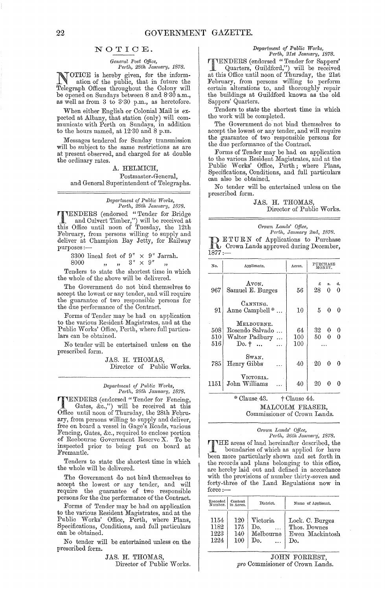#### NOTIOE.

#### *General Post Office,*  Perth, 28th January, 1878.

NOTICE is hereby given, for the inform-<br>ation of the public, that in future the<br>Telegraph Offices throughout the Colony will Telegraph Offices throughout the Oolony will be opened on Sundays between 8 and 8'30 a.m., as well as from 3 to 3'30 p.m., as heretofore.

When either English or Oolonial Mail is expected at Albany, that station (only) will communicate with Perth on Sundays, in addition to the hours named, at 12.30 and 8 p.m.

Messages tendered for Sunday transmission will be subject to the same restrictions as are at present observed, and charged for at double the ordinary rates.

## A. HELMIOH,

#### Postmaster-General,

and General Superintendent of Telegraphs.

*Depa?·t!nent qf P1,blic Wm'/;s,* 

*Perth, 28th January, 1878.*<br> **PRIMERS** (endorsed "Tender for Bridge") TENDERS (endorsed "Tender for Bridge and Oulvert Timber,") will be received at this Office until noon of Tuesday, the 12th February, from persons willing to supply and deliver at Champion Bay Jetty, for Railway purposes :-

3300 lineal feet of  $9'' \times 9''$  Jarrah.<br>
8000  $\qquad \qquad$   $\qquad \qquad$   $\qquad \qquad$   $\qquad \qquad$   $\qquad \qquad$   $\qquad \qquad$   $\qquad \qquad$   $\qquad \qquad$   $\qquad \qquad$   $\qquad \qquad$ 

Tenders to state the shortest time in which

the whole of the above will be delivered.

The Government do not bind themselves to accept the lowest or any tender, and will require the guarantee of two responsible persons for the due performance of the Oontract.

Forms of Tender may be had on application to the various Resident Magistrates, and at the Public Works' Office, Perth, where full particulars can be obtained.

No tender will be entertained unless on the prescribed form.

> JAS. H. THOMAS, Director of Public Works.

#### *Depaj'tment qf PubHc Works, Pel'th, 28th Jam'a?'Y, 1878.*

TIENDERS (endorsed "Tender for Fencing, . Gates, &c.,") will be received at this Office until noon of Thursday, the 28th February, from persons willing to supply and deliver, free on board a vessel in Gage's Roads, various Fencing, Gates, &c., required to enclose portion of Roebourne Government Reserve X. To be inspected prior to being put on board at Fremantle.

Tenders to state the shortest time in which the whole will be delivered.

The Government do not bind themselves to accept the lowest or any tender, and will require the guarantee of two responsible persons for the due performance of the Oontract.

Forms of Tender may be had on application to the various Resident Magistrates, and at the Public Works' Office, Perth, where Plans, Specifications, Oonditions, and full particulars can be obtained.

No tender will be entertained unless on the prescribed form.

#### JAS. H. THOMAS, Director of Public Works.

#### *Department of Public Works, Perth, 21st January, 1878. Pel,th, 21st Janua?'Y, 1878.*

**THENDERS** (endorsed "Tender for Sappers'<br>Quarters, Guildford,") will be received<br>at this Office until noon of Thursday, the 21st Quarters, Guildford,") will be received at this Office until noon of Thursday, the 21st February, from persons willing to perform certain alterations to, and thoroughly repair the buildings at Guildford known as the old Sappers' Quarters.

Tenders to state the shortest time in which the work will be completed.

The Government do' not bind themselves to accept the lowest or any tender, and will require the guarantee of two responsible persons for the due performance of the Oontract.

Forms of Tender may be had on application to the various Resident Magistrates, and at the Public Works' Office, Perth; where Plans, Specifications, Oonditions, and full particulars can also be obtained.

No tender will be entertained unless on the prescribed form.

#### JAS. H. THOMAS,

Director of Public Works.

*Crown Lands' Office,* 

*Perth, January 2nd, 1878.*<br>**• ETURN** of Applications to Purchase **DETURN** of Applications to Purchase<br> **ORIGINE:** Crown Lands approved during December,  $1877:$ 

| No.                | Applicants.                                                        | Acres.           | PURCHASE   | MONEY.        |          |
|--------------------|--------------------------------------------------------------------|------------------|------------|---------------|----------|
| 967                | Avon.<br>Samuel E. Burges                                          | 56               | £<br>28    | я.<br>0       | đ.<br>0  |
| 91                 | CANNING.<br>Anne Campbell <sup>*</sup>                             | 10               | 5          | 0             | $\Omega$ |
| 508.<br>510<br>516 | MELBOURNE.<br>Rosendo Salvado<br>Walter Padbury<br>$Do.$ $\dagger$ | 64<br>100<br>100 | 32<br>50   | 0<br>$\Omega$ | -0       |
| 785                | SWAN.<br>Henry Gibbs                                               | 40               | $\cdot 20$ | 0             | -0       |
| 1151               | VICTORIA.<br>John Williams                                         | 40               | 20         |               |          |
|                    | * 21 10 12 14                                                      |                  |            |               |          |

# $*$  Clause 43.  $+$  Clause 44. MALOOLM FRASER,

## Oommissioner of Orown Lands.

#### *C;'own Lands' QUice, Perth, 26th January; 1878.*

THE areas of land hereinafter described, the boundaries of which as annlied for have boundaries of which as applied for have been more particularly shown and set forth in the records and plans belonging to this office, are hereby laid out and defined in accordance with the provisions of number thirty-seven and forty-three of the Land Regulations now in  $_{\rm force}$  :-

| Recorded<br>Number. | Content<br>in Acres. | District. | Name of Applicant. |
|---------------------|----------------------|-----------|--------------------|
| 1154                | 120                  | Victoria. | Lock. C. Burges    |
| 1182                | 175                  | Do.       | Thos. Downes       |
| 1223                | 140                  | Melbourne | Ewen Mackintosh    |
| 1224                | 100                  | Do.       | Do.                |

JOHN FORREST, *pro* Oommisioner of Orown Lands,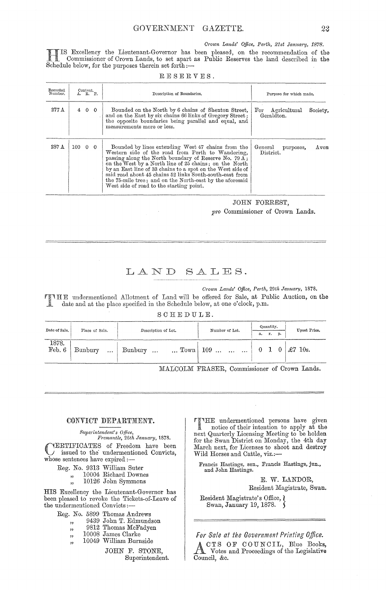*Crown Lands' Office, Perth, 21st January, 1878.* 

IS Excellency the Lieutenant-Governor has been pleased, on the recommendation of the Commissioner of Crown Lands, to set apart as Public Reserves the land described in the Schedule below, for the purposes therein set forth:--

| Recorded<br>Number. |                       | Content.<br>A. R. P. | Description of Boundaries.                                                                                                                                                                                                                                                                                                                                                                                                                                            | Purpose for which made.                    |          |
|---------------------|-----------------------|----------------------|-----------------------------------------------------------------------------------------------------------------------------------------------------------------------------------------------------------------------------------------------------------------------------------------------------------------------------------------------------------------------------------------------------------------------------------------------------------------------|--------------------------------------------|----------|
| $277\,\mathrm{A}$   |                       | 4 0 0                | Bounded on the North by 6 chains of Shenton Street,<br>and on the East by six chains 66 links of Gregory Street;<br>the opposite boundaries being parallel and equal, and<br>measurements more or less.                                                                                                                                                                                                                                                               | Agricultural<br>$_{\rm For}$<br>Geraldton. | Society, |
| 287 A               | $100 \quad 0 \quad 0$ |                      | Bounded by lines extending West 47 chains from the<br>Western side of the road from Perth to Wandering,<br>passing along the North boundary of Reserve No. 79 $\Lambda$ ;<br>on the West by a North line of 25 chains; on the North<br>by an East line of 33 chains to a spot on the West side of<br>said road about 45 chains 52 links South-south-east from<br>the 75-mile tree; and on the North-east by the aforesaid<br>West side of road to the starting point. | General<br>purposes,<br>District.          | $A$ von  |

## JOHN FORREST, pro Commissioner of Crown Lands.

# LAND SALES.

01'own *Lands' Office, Perth, 29th January, 1878.* 

HE undermentioned Allotment of Land will be offered for Sale, at Public Auction, on the date and at the place specified in the Schedule below, at one o'clock, p.m.

#### SCHEDULE.

| Date of Sale.   | Place of Sale.        | Description of Lot.  | Number of Lot.                               | Quantity.<br>r.<br>p.<br>a. |                |   | Upset Price.                    |
|-----------------|-----------------------|----------------------|----------------------------------------------|-----------------------------|----------------|---|---------------------------------|
| 1878.<br>Feb. 6 | Bunbury<br>$\dddotsc$ | Bunbury<br>$\ddotsc$ | $\ldots$ Town 109 $\ldots$ $\ldots$ $\ldots$ |                             | 0 <sub>1</sub> | 0 | $\pounds$ 7<br>$10\mathrm{s}$ . |

MALCOLM FRASER, Commissioner of Crown Lands.

#### CONVICT DEPARTMENT.

*Superintendent's Office,* 

*Fremantle, 26th January, 1878.*  CERTIFICATES of Freedom have been issued to the' undermentioned Convicts, whose sentences have expired :-

- Reg. No. 9313 William Suter
	- ", 10004 Richard Downes
		- ", 10004 Richard Downes", 10126 John Symmons

HIS Excellency the Lieutenant-Governor has been pleased to revoke the Tickets-of-Leave of the undermentioned Convicts:-

- Reg. No. 5899 Thomas Andrews
	- "<br>" 9439 John T. Edmundson
	- "<br>.. 9812 Thomas McFadyen
	- יי<br>ני 10008 James Clarke
		- 10049 William Burnside

JOHN F. STONE, Superintendent.

THE undermentioned persons have given<br>
notice of their intention to apply at the<br>
notice of their intention to apply at the next Quarterly Licensing Meeting to be holden for the Swan District on Monday, the 4th day March next, for Licenses to shoot and destroy Wild Horses and Cattle, viz.:-

Francis Hastings, sen., Francis Hastings, jun., and John Hastings.

> E. W. LANDOR, Resident Magistrate, Swan.

Resident Magistrate's Office,  $\chi$ Swan, January 19, 1878. ۱,

*For Sale at the Government Printing Office.* 

CTS OF COUNCIL, Blue Books, Votes and Proceedings of the Legislative Council, &c.